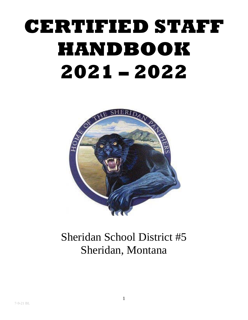# **CERTIFIED STAFF HANDBOOK 2021 – 2022**



# Sheridan School District #5 Sheridan, Montana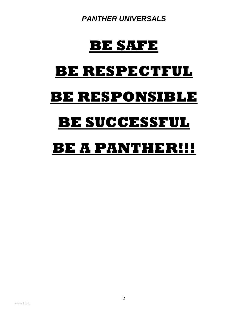*PANTHER UNIVERSALS*

# **BE SAFE**

# <span id="page-1-0"></span>**BE RESPECTFUL**

# **BE RESPONSIBLE**

# **BE SUCCESSFUL**

# **BE A PANTHER!!!**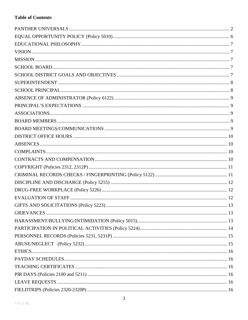#### **Table of Contents**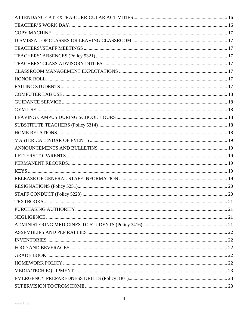| 20 |
|----|
|    |
|    |
|    |
|    |
|    |
|    |
|    |
|    |
|    |
|    |
|    |
|    |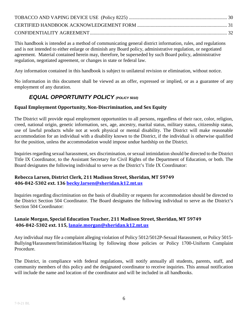This handbook is intended as a method of communicating general district information, rules, and regulations and is not intended to either enlarge or diminish any Board policy, administrative regulation, or negotiated agreement. Material contained herein may, therefore, be superseded by such Board policy, administrative regulation, negotiated agreement, or changes in state or federal law.

Any information contained in this handbook is subject to unilateral revision or elimination, without notice.

<span id="page-5-0"></span>No information in this document shall be viewed as an offer, expressed or implied, or as a guarantee of any employment of any duration.

#### *EQUAL OPPORTUNITY POLICY (POLICY 5010)*

#### **Equal Employment Opportunity, Non-Discrimination, and Sex Equity**

The District will provide equal employment opportunities to all persons, regardless of their race, color, religion, creed, national origin, genetic information, sex, age, ancestry, marital status, military status, citizenship status, use of lawful products while not at work physical or mental disability. The District will make reasonable accommodation for an individual with a disability known to the District, if the individual is otherwise qualified for the position, unless the accommodation would impose undue hardship on the District.

Inquiries regarding sexual harassment, sex discrimination, or sexual intimidation should be directed to the District Title IX Coordinator, to the Assistant Secretary for Civil Rights of the Department of Education, or both. The Board designates the following individual to serve as the District's Title IX Coordinator:

#### **Rebecca Larsen, District Clerk, 211 Madison Street, Sheridan, MT 59749 406-842-5302 ext. 136 [becky.larsen@sheridan.k12.mt.us](mailto:becky.larsen@sheridan.k12.mt.us)**

Inquiries regarding discrimination on the basis of disability or requests for accommodation should be directed to the District Section 504 Coordinator. The Board designates the following individual to serve as the District's Section 504 Coordinator:

#### **Lanaie Morgan, Special Education Teacher, 211 Madison Street, Sheridan, MT 59749 406-842-5302 ext. 115, [lanaie.morgan@sheridan.k12.mt.us](mailto:lanaie.morgan@sheridan.k12.mt.us)**

Any individual may file a complaint alleging violation of Policy 5012/5012P-Sexual Harassment, or Policy 5015- Bullying/Harassment/Intimidation/Hazing by following those policies or Policy 1700-Uniform Complaint Procedure.

The District, in compliance with federal regulations, will notify annually all students, parents, staff, and community members of this policy and the designated coordinator to receive inquiries. This annual notification will include the name and location of the coordinator and will be included in all handbooks.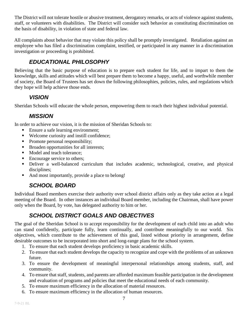The District will not tolerate hostile or abusive treatment, derogatory remarks, or acts of violence against students, staff, or volunteers with disabilities. The District will consider such behavior as constituting discrimination on the basis of disability, in violation of state and federal law.

All complaints about behavior that may violate this policy shall be promptly investigated. Retaliation against an employee who has filed a discrimination complaint, testified, or participated in any manner in a discrimination investigation or proceeding is prohibited.

# *EDUCATIONAL PHILOSOPHY*

<span id="page-6-0"></span>Believing that the basic purpose of education is to prepare each student for life, and to impart to them the knowledge, skills and attitudes which will best prepare them to become a happy, useful, and worthwhile member of society, the Board of Trustees has set down the following philosophies, policies, rules, and regulations which they hope will help achieve those ends.

#### *VISION*

<span id="page-6-2"></span><span id="page-6-1"></span>Sheridan Schools will educate the whole person, empowering them to reach their highest individual potential.

#### *MISSION*

In order to achieve our vision, it is the mission of Sheridan Schools to:

- Ensure a safe learning environment;
- Welcome curiosity and instill confidence;
- Promote personal responsibility;
- Broaden opportunities for all interests;
- Model and teach tolerance;
- Encourage service to others;
- Deliver a well-balanced curriculum that includes academic, technological, creative, and physical disciplines;
- <span id="page-6-3"></span>• And most importantly, provide a place to belong!

# *SCHOOL BOARD*

Individual Board members exercise their authority over school district affairs only as they take action at a legal meeting of the Board. In other instances an individual Board member, including the Chairman, shall have power only when the Board, by vote, has delegated authority to him or her.

# *SCHOOL DISTRICT GOALS AND OBJECTIVES*

<span id="page-6-4"></span>The goal of the Sheridan School is to accept responsibility for the development of each child into an adult who can stand confidently, participate fully, learn continually, and contribute meaningfully to our world. Six objectives, which contribute to the achievement of this goal, listed without priority in arrangement, define desirable outcomes to be incorporated into short and long-range plans for the school system.

- 1. To ensure that each student develops proficiency in basic academic skills.
- 2. To ensure that each student develops the capacity to recognize and cope with the problems of an unknown future.
- 3. To ensure the development of meaningful interpersonal relationships among students, staff, and community.
- 4. To ensure that staff, students, and parents are afforded maximum feasible participation in the development and evaluation of programs and policies that meet the educational needs of each community.
- 5. To ensure maximum efficiency in the allocation of material resources.
- 6. To ensure maximum efficiency in the allocation of human resources.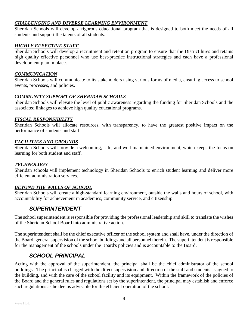#### *CHALLENGING AND DIVERSE LEARNING ENVIRONMENT*

Sheridan Schools will develop a rigorous educational program that is designed to both meet the needs of all students and support the talents of all students.

#### *HIGHLY EFFECTIVE STAFF*

Sheridan Schools will develop a recruitment and retention program to ensure that the District hires and retains high quality effective personnel who use best-practice instructional strategies and each have a professional development plan in place.

#### *COMMUNICATION*

Sheridan Schools will communicate to its stakeholders using various forms of media, ensuring access to school events, processes, and policies.

#### *COMMUNITY SUPPORT OF SHERIDAN SCHOOLS*

Sheridan Schools will elevate the level of public awareness regarding the funding for Sheridan Schools and the associated linkages to achieve high quality educational programs.

#### *FISCAL RESPONSIBILITY*

Sheridan Schools will allocate resources, with transparency, to have the greatest positive impact on the performance of students and staff.

#### *FACILITIES AND GROUNDS*

Sheridan Schools will provide a welcoming, safe, and well-maintained environment, which keeps the focus on learning for both student and staff.

#### *TECHNOLOGY*

Sheridan schools will implement technology in Sheridan Schools to enrich student learning and deliver more efficient administration services.

#### *BEYOND THE WALLS OF SCHOOL*

<span id="page-7-0"></span>Sheridan Schools will create a high-standard learning environment, outside the walls and hours of school, with accountability for achievement in academics, community service, and citizenship.

#### *SUPERINTENDENT*

The school superintendent is responsible for providing the professional leadership and skill to translate the wishes of the Sheridan School Board into administrative action.

The superintendent shall be the chief executive officer of the school system and shall have, under the direction of the Board, general supervision of the school buildings and all personnel therein. The superintendent is responsible for the management of the schools under the Board's policies and is accountable to the Board.

#### *SCHOOL PRINCIPAL*

<span id="page-7-1"></span>Acting with the approval of the superintendent, the principal shall be the chief administrator of the school buildings. The principal is charged with the direct supervision and direction of the staff and students assigned to the building, and with the care of the school facility and its equipment. Within the framework of the policies of the Board and the general rules and regulations set by the superintendent, the principal may establish and enforce such regulations as he deems advisable for the efficient operation of the school.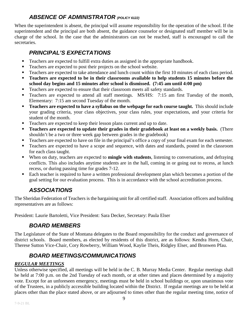#### *ABSENCE OF ADMINISTRATOR (POLICY 6122)*

<span id="page-8-0"></span>When the superintendent is absent, the principal will assume responsibility for the operation of the school. If the superintendent and the principal are both absent, the guidance counselor or designated staff member will be in charge of the school. In the case that the administrators can not be reached, staff is encouraged to call the secretaries.

#### *PRINCIPAL'S EXPECTATIONS*

- <span id="page-8-1"></span>**Teachers are expected to fulfill extra duties as assigned in the appropriate handbook.**
- Teachers are expected to post their projects on the school website.
- Teachers are expected to take attendance and lunch count within the first 10 minutes of each class period.
- **Teachers are expected to be in their classrooms available to help students 15 minutes before the school day begins and 15 minutes after school is dismissed. (7:45 am until 4:00 pm)**
- Teachers are expected to ensure that their classroom meets all safety standards.
- Teachers are expected to attend all staff meetings. MS/HS: 7:15 am first Tuesday of the month, Elementary: 7:15 am second Tuesday of the month.
- **Teachers are expected to have a syllabus on the webpage for each course taught.** This should include your grading criteria, your class objectives, your class rules, your expectations, and your criteria for student of the month.
- Teachers are expected to keep their lesson plans current and up to date.
- **Teachers are expected to update their grades in their gradebook at least on a weekly basis.** (There shouldn't be a two or three week gap between grades in the gradebook)
- Teachers are expected to have on file in the principal's office a copy of your final exam for each semester.
- **Teachers are expected to have a scope and sequence, with dates and standards, posted in the classroom** for each class taught.
- When on duty, teachers are expected to **mingle with students**, listening to conversations, and defraying conflicts. This also includes anytime students are in the hall, coming in or going out to recess, at lunch recess, or during passing time for grades 7-12.
- Each teacher is required to have a written professional development plan which becomes a portion of the goal setting for our evaluation process. This is in accordance with the school accreditation process.

# *ASSOCIATIONS*

<span id="page-8-2"></span>The Sheridan Federation of Teachers is the bargaining unit for all certified staff. Association officers and building representatives are as follows:

<span id="page-8-3"></span>President: Laurie Bartoletti, Vice President: Sara Decker, Secretary: Paula Elser

#### *BOARD MEMBERS*

The Legislature of the State of Montana delegates to the Board responsibility for the conduct and governance of district schools. Board members, as elected by residents of this district, are as follows: Kendra Horn, Chair, Therese Sutton Vice-Chair, Cory Rowberry, William Wood, Kaylie Theis, Ridgley Elser, and Bronwen Pfau.

# *BOARD MEETINGS/COMMUNICATIONS*

#### <span id="page-8-4"></span>*REGULAR MEETINGS*

Unless otherwise specified, all meetings will be held in the C. B. Murray Media Center. Regular meetings shall be held at 7:00 p.m. on the 2nd Tuesday of each month, or at other times and places determined by a majority vote. Except for an unforeseen emergency, meetings must be held in school buildings or, upon unanimous vote of the Trustees, in a publicly accessible building located within the District. If regular meetings are to be held at places other than the place stated above, or are adjourned to times other than the regular meeting time, notice of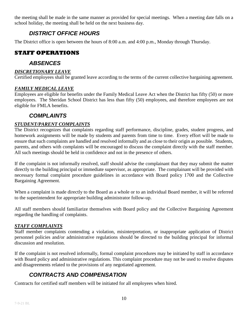<span id="page-9-0"></span>the meeting shall be made in the same manner as provided for special meetings. When a meeting date falls on a school holiday, the meeting shall be held on the next business day.

#### *DISTRICT OFFICE HOURS*

The District office is open between the hours of 8:00 a.m. and 4:00 p.m., Monday through Thursday.

### <span id="page-9-1"></span>**STAFF OPERATIONS**

#### *ABSENCES*

#### *DISCRETIONARY LEAVE*

Certified employees shall be granted leave according to the terms of the current collective bargaining agreement.

#### *FAMILY MEDICAL LEAVE*

Employees are eligible for benefits under the Family Medical Leave Act when the District has fifty (50) or more employees. The Sheridan School District has less than fifty (50) employees, and therefore employees are not eligible for FMLA benefits.

#### *COMPLAINTS*

#### <span id="page-9-2"></span>*STUDENT/PARENT COMPLAINTS*

The District recognizes that complaints regarding staff performance, discipline, grades, student progress, and homework assignments will be made by students and parents from time to time. Every effort will be made to ensure that such complaints are handled and resolved informally and as close to their origin as possible. Students, parents, and others with complaints will be encouraged to discuss the complaint directly with the staff member. All such meetings should be held in confidence and not in the presence of others.

If the complaint is not informally resolved, staff should advise the complainant that they may submit the matter directly to the building principal or immediate supervisor, as appropriate. The complainant will be provided with necessary formal complaint procedure guidelines in accordance with Board policy 1700 and the Collective Bargaining Agreement.

When a complaint is made directly to the Board as a whole or to an individual Board member, it will be referred to the superintendent for appropriate building administrator follow-up.

All staff members should familiarize themselves with Board policy and the Collective Bargaining Agreement regarding the handling of complaints.

#### *STAFF COMPLAINTS*

Staff member complaints contending a violation, misinterpretation, or inappropriate application of District personnel policies and/or administrative regulations should be directed to the building principal for informal discussion and resolution.

If the complaint is not resolved informally, formal complaint procedures may be initiated by staff in accordance with Board policy and administrative regulations. This complaint procedure may not be used to resolve disputes and disagreements related to the provisions of any negotiated agreement.

# *CONTRACTS AND COMPENSATION*

<span id="page-9-3"></span>Contracts for certified staff members will be initiated for all employees when hired.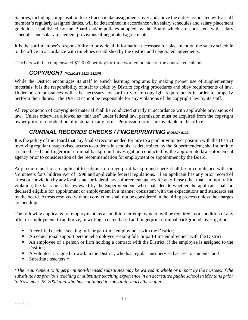Salaries, including compensation for extracurricular assignments over and above the duties associated with a staff member's regularly assigned duties, will be determined in accordance with salary schedules and salary placement guidelines established by the Board and/or policies adopted by the Board which are consistent with salary schedules and salary placement provisions of negotiated agreements.

It is the staff member's responsibility to provide all information necessary for placement on the salary schedule to the office in accordance with timelines established by the district and negotiated agreements.

<span id="page-10-0"></span>Teachers will be compensated \$120.00 per day for time worked outside of the contracted calendar.

#### *COPYRIGHT (POLICIES 2312, 2312P)*

While the District encourages its staff to enrich learning programs by making proper use of supplementary materials, it is the responsibility of staff to abide by District copying procedures and obey requirements of law. Under no circumstances will it be necessary for staff to violate copyright requirements in order to properly perform their duties. The District cannot be responsible for any violations of the copyright law by its staff.

All reproduction of copyrighted material shall be conducted strictly in accordance with applicable provisions of law. Unless otherwise allowed as "fair use" under federal law, permission must be acquired from the copyright owner prior to reproduction of material in any form. Permission forms are available in the office.

# *CRIMINAL RECORDS CHECKS / FINGERPRINTING (POLICY 5122)*

<span id="page-10-1"></span>It is the policy of the Board that any finalist recommended for hire to a paid or volunteer position with the District involving regular unsupervised access to students in schools, as determined by the Superintendent, shall submit to a name-based and fingerprint criminal background investigation conducted by the appropriate law enforcement agency prior to consideration of the recommendation for employment or appointment by the Board.

Any requirement of an applicant to submit to a fingerprint background check shall be in compliance with the Volunteers for Children Act of 1998 and applicable federal regulations. If an applicant has any prior record of arrest or conviction by any local, state, or federal law enforcement agency for an offense other than a minor traffic violation, the facts must be reviewed by the Superintendent, who shall decide whether the applicant shall be declared eligible for appointment or employment in a manner consistent with the expectations and standards set by the board. Arrests resolved without conviction shall not be considered in the hiring process unless the charges are pending.

The following applicants for employment, as a condition for employment, will be required, as a condition of any offer of employment, to authorize, in writing, a name-based and fingerprint criminal background investigation:

- A certified teacher seeking full- or part-time employment with the District;
- An educational support personnel employee seeking full- or part-time employment with the District;
- An employee of a person or firm holding a contract with the District, if the employee is assigned to the District;
- A volunteer assigned to work in the District, who has regular unsupervised access to students; and
- Substitute teachers.\*

\**The requirement to fingerprint non-licensed substitutes may be waived in whole or in part by the trustees, if the substitute has previousteaching orsubstitute teaching experience in an accredited public school in Montana prior to November 28, 2002 and who has continued to substitute yearly thereafter.*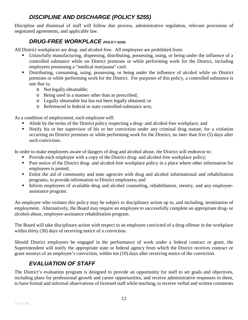#### *DISCIPLINE AND DISCHARGE (POLICY 5255)*

<span id="page-11-1"></span><span id="page-11-0"></span>Discipline and dismissal of staff will follow due process, administrative regulation, relevant provisions of negotiated agreements, and applicable law.

#### *DRUG-FREE WORKPLACE (POLICY 5226)*

All District workplaces are drug- and alcohol-free. All employees are prohibited from:

- Unlawfully manufacturing, dispensing, distributing, possessing, using, or being under the influence of a controlled substance while on District premises or while performing work for the District, including employees possessing a "medical marijuana" card.
- Distributing, consuming, using, possessing, or being under the influence of alcohol while on District premises or while performing work for the District. For purposes of this policy, a controlled substance is one that is;
	- o Not legally obtainable;
	- o Being used in a manner other than as prescribed;
	- o Legally obtainable but has not been legally obtained; or
	- o Referenced in federal or state controlled-substance acts;

As a condition of employment, each employee will:

- Abide by the terms of the District policy respecting a drug- and alcohol-free workplace; and
- Notify his or her supervisor of his or her conviction under any criminal drug statute, for a violation occurring on District premises or while performing work for the District, no later than five (5) days after such conviction.

In order to make employees aware of dangers of drug and alcohol abuse, the District will endeavor to:

- Provide each employee with a copy of the District drug- and alcohol-free workplace policy;
- Post notice of the District drug- and alcohol-free workplace policy in a place where other information for employees is posted;
- Enlist the aid of community and state agencies with drug and alcohol informational and rehabilitation programs, to provide information to District employees; and
- Inform employees of available drug and alcohol counseling, rehabilitation, reentry, and any employeeassistance program.

An employee who violates this policy may be subject to disciplinary action up to, and including, termination of employment. Alternatively, the Board may require an employee to successfully complete an appropriate drug- or alcohol-abuse, employee-assistance rehabilitation program.

The Board will take disciplinary action with respect to an employee convicted of a drug offense in the workplace within thirty (30) days of receiving notice of a conviction.

Should District employees be engaged in the performance of work under a federal contract or grant, the Superintendent will notify the appropriate state or federal agency from which the District receives contract or grant moneys of an employee's conviction, within ten (10) days after receiving notice of the conviction.

# *EVALUATION OF STAFF*

<span id="page-11-2"></span>The District's evaluation program is designed to provide an opportunity for staff to set goals and objectives, including plans for professional growth and career opportunities, and receive administrative responses to them, to have formal and informal observations of licensed staff while teaching, to receive verbal and written comments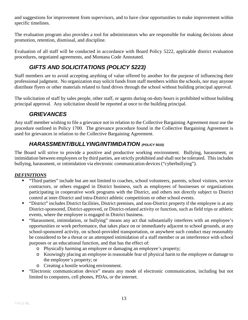and suggestions for improvement from supervisors, and to have clear opportunities to make improvement within specific timelines.

The evaluation program also provides a tool for administrators who are responsible for making decisions about promotion, retention, dismissal, and discipline.

<span id="page-12-0"></span>Evaluation of all staff will be conducted in accordance with Board Policy 5222, applicable district evaluation procedures, negotiated agreements, and Montana Code Annotated.

# *GIFTS AND SOLICITATIONS (POLICY 5223)*

Staff members are to avoid accepting anything of value offered by another for the purpose of influencing their professional judgment. No organization may solicit funds from staff members within the schools, nor may anyone distribute flyers or other materials related to fund drives through the school without building principal approval.

<span id="page-12-1"></span>The solicitation of staff by sales people, other staff, or agents during on-duty hours is prohibited without building principal approval. Any solicitation should be reported at once to the building principal.

#### *GRIEVANCES*

Any staff member wishing to file a grievance not in relation to the Collective Bargaining Agreement must use the procedure outlined in Policy 1700. The grievance procedure found in the Collective Bargaining Agreement is used for grievances in relation to the Collective Bargaining Agreement.

#### *HARASSMENT/BULLYING/INTIMIDATION (POLICY 5015)*

<span id="page-12-2"></span>The Board will strive to provide a positive and productive working environment. Bullying, harassment, or intimidation between employees or by third parties, are strictly prohibited and shall not be tolerated. This includes bullying, harassment, or intimidation via electronic communication devices("cyberbullying").

#### *DEFINITIONS*

- "Third parties" include but are not limited to coaches, school volunteers, parents, school visitors, service contractors, or others engaged in District business, such as employees of businesses or organizations participating in cooperative work programs with the District, and others not directly subject to District control at inter-District and intra-District athletic competitions or other school events.
- "District" includes District facilities, District premises, and non-District property if the employee is at any District-sponsored, District-approved, or District-related activity or function, such as field trips or athletic events, where the employee is engaged in District business.
- "Harassment, intimidation, or bullying" means any act that substantially interferes with an employee's opportunities or work performance, that takes place on or immediately adjacent to school grounds, at any school-sponsored activity, on school-provided transportation, or anywhere such conduct may reasonably be considered to be a threat or an attempted intimidation of a staff member or an interference with school purposes or an educational function, and that has the effect of:
	- o Physically harming an employee or damaging an employee's property;
	- o Knowingly placing an employee in reasonable fear of physical harm to the employee or damage to the employee's property; or
	- o Creating a hostile working environment.
- "Electronic communication device" means any mode of electronic communication, including but not limited to computers, cell phones, PDAs, or the internet.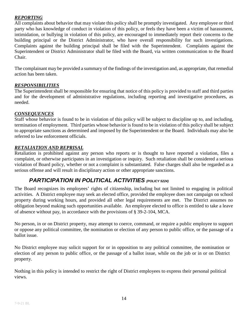#### *REPORTING*

All complaints about behavior that may violate this policy shall be promptly investigated. Any employee or third party who has knowledge of conduct in violation of this policy, or feels they have been a victim of harassment, intimidation, or bullying in violation of this policy, are encouraged to immediately report their concerns to the building principal or the District Administrator, who have overall responsibility for such investigations. Complaints against the building principal shall be filed with the Superintendent. Complaints against the Superintendent or District Administrator shall be filed with the Board, via written communication to the Board Chair.

The complainant may be provided a summary of the findings of the investigation and, as appropriate, that remedial action has been taken.

#### *RESPONSIBILITIES*

The Superintendent shall be responsible for ensuring that notice of this policy is provided to staff and third parties and for the development of administrative regulations, including reporting and investigative procedures, as needed.

#### *CONSEQUENCES*

Staff whose behavior is found to be in violation of this policy will be subject to discipline up to, and including, termination of employment. Third parties whose behavior is found to be in violation of this policy shall be subject to appropriate sanctions as determined and imposed by the Superintendent or the Board. Individuals may also be referred to law enforcement officials.

#### *RETALIATION AND REPRISAL*

Retaliation is prohibited against any person who reports or is thought to have reported a violation, files a complaint, or otherwise participates in an investigation or inquiry. Such retaliation shall be considered a serious violation of Board policy, whether or not a complaint is substantiated. False charges shall also be regarded as a serious offense and will result in disciplinary action or other appropriate sanctions.

#### *PARTICIPATION IN POLITICAL ACTIVITIES (POLICY 5224)*

<span id="page-13-0"></span>The Board recognizes its employees' rights of citizenship, including but not limited to engaging in political activities. A District employee may seek an elected office, provided the employee does not campaign on school property during working hours, and provided all other legal requirements are met. The District assumes no obligation beyond making such opportunities available. An employee elected to office is entitled to take a leave of absence without pay, in accordance with the provisions of § 39-2-104, MCA.

No person, in or on District property, may attempt to coerce, command, or require a public employee to support or oppose any political committee, the nomination or election of any person to public office, or the passage of a ballot issue.

No District employee may solicit support for or in opposition to any political committee, the nomination or election of any person to public office, or the passage of a ballot issue, while on the job or in or on District property.

Nothing in this policy is intended to restrict the right of District employees to express their personal political views.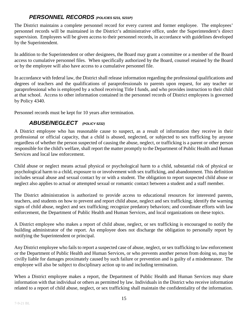#### *PERSONNEL RECORDS (POLICIES 5231, 5231P)*

<span id="page-14-0"></span>The District maintains a complete personnel record for every current and former employee. The employees' personnel records will be maintained in the District's administrative office, under the Superintendent's direct supervision. Employees will be given access to their personnel records, in accordance with guidelines developed by the Superintendent.

In addition to the Superintendent or other designees, the Board may grant a committee or a member of the Board access to cumulative personnel files. When specifically authorized by the Board, counsel retained by the Board or by the employee will also have access to a cumulative personnel file.

In accordance with federal law, the District shall release information regarding the professional qualifications and degrees of teachers and the qualifications of paraprofessionals to parents upon request, for any teacher or paraprofessional who is employed by a school receiving Title I funds, and who provides instruction to their child at that school. Access to other information contained in the personnel records of District employees is governed by Policy 4340.

<span id="page-14-1"></span>Personnel records must be kept for 10 years after termination.

#### *ABUSE/NEGLECT (POLICY 5232)*

A District employee who has reasonable cause to suspect, as a result of information they receive in their professional or official capacity, that a child is abused, neglected, or subjected to sex trafficking by anyone regardless of whether the person suspected of causing the abuse, neglect, or trafficking is a parent or other person responsible for the child's welfare, shall report the matter promptly to the Department of Public Health and Human Services and local law enforcement.

Child abuse or neglect means actual physical or psychological harm to a child, substantial risk of physical or psychological harm to a child, exposure to or involvement with sex trafficking, and abandonment. This definition includes sexual abuse and sexual contact by or with a student. The obligation to report suspected child abuse or neglect also applies to actual or attempted sexual or romantic contact between a student and a staff member.

The District administration is authorized to provide access to educational resources for interested parents, teachers, and students on how to prevent and report child abuse, neglect and sex trafficking; identify the warning signs of child abuse, neglect and sex trafficking; recognize predatory behaviors; and coordinate efforts with law enforcement, the Department of Public Health and Human Services, and local organizations on these topics.

A District employee who makes a report of child abuse, neglect, or sex trafficking is encouraged to notify the building administrator of the report. An employee does not discharge the obligation to personally report by notifying the Superintendent or principal.

Any District employee who fails to report a suspected case of abuse, neglect, or sex trafficking to law enforcement or the Department of Public Health and Human Services, or who prevents another person from doing so, may be civilly liable for damages proximately caused by such failure or prevention and is guilty of a misdemeanor. The employee will also be subject to disciplinary action up to and including termination.

When a District employee makes a report, the Department of Public Health and Human Services may share information with that individual or others as permitted by law. Individuals in the District who receive information related to a report of child abuse, neglect, or sex trafficking shall maintain the confidentiality of the information.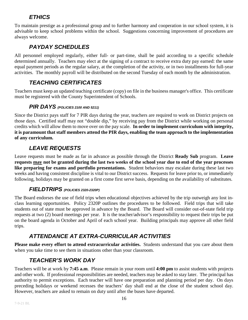#### *ETHICS*

<span id="page-15-0"></span>To maintain prestige as a professional group and to further harmony and cooperation in our school system, it is advisable to keep school problems within the school. Suggestions concerning improvement of procedures are always welcome.

#### *PAYDAY SCHEDULES*

<span id="page-15-1"></span>All personnel employed regularly, either full- or part-time, shall be paid according to a specific schedule determined annually. Teachers may elect at the signing of a contract to receive extra duty pay earned: the same equal payment periods as the regular salary, at the completion of the activity, or in two installments for full-year activities. The monthly payroll will be distributed on the second Tuesday of each month by the administration.

### *TEACHING CERTIFICATES*

<span id="page-15-3"></span><span id="page-15-2"></span>Teachers must keep an updated teaching certificate (copy) on file in the business manager's office. This certificate must be registered with the County Superintendent of Schools.

#### *PIR DAYS (POLICIES 2100 AND 5211)*

Since the District pays staff for 7 PIR days during the year, teachers are required to work on District projects on those days. Certified staff may not "double dip," by receiving pay from the District while working on personal credits which will allow them to move over on the pay scale. **In order to implement curriculum with integrity, it is paramount that staff members attend the PIR days, enabling the team approach to the implementation of any curriculum.** 

### *LEAVE REQUESTS*

<span id="page-15-4"></span>Leave requests must be made as far in advance as possible through the District **Ready Sub** program. **Leave requests may not be granted during the last two weeks of the school year due to end of the year processes like preparing for exams and portfolio presentations.** Student behaviors may escalate during these last two weeks and having consistent discipline is vital to our District success. Requests for leave prior to, or immediately following, holidays may be granted on a first come first serve basis, depending on the availability of substitutes.

#### *FIELDTRIPS (POLICIES 2320-2320P)*

<span id="page-15-5"></span>The Board endorses the use of field trips when educational objectives achieved by the trip outweigh any lost inclass learning opportunities. Policy 2320P outlines the procedures to be followed. Field trips that will take students out of state must be approved in advance by the Board. The Board will consider out-of-state field trip requests at two (2) board meetings per year. It is the teacher/advisor's responsibility to request their trips be put on the board agenda in October and April of each school year. Building principals may approve all other field trips.

# *ATTENDANCE AT EXTRA-CURRICULAR ACTIVITIES*

<span id="page-15-7"></span><span id="page-15-6"></span>**Please make every effort to attend extracurricular activities.** Students understand that you care about them when you take time to see them in situations other than your classroom.

# *TEACHER'S WORK DAY*

Teachers will be at work by **7:45 a.m**. Please remain in your room until **4:00 pm** to assist students with projects and other work. If professional responsibilities are needed, teachers may be asked to stay later. The principal has authority to permit exceptions. Each teacher will have one preparation and planning period per day. On days preceding holidays or weekend recesses the teachers' day shall end at the close of the student school day. However, teachers are asked to remain on duty until after the buses have departed.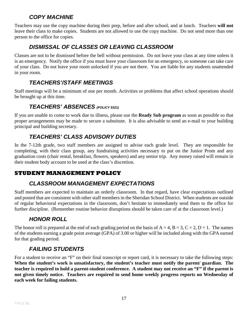#### *COPY MACHINE*

<span id="page-16-0"></span>Teachers may use the copy machine during their prep, before and after school, and at lunch. Teachers **will not** leave their class to make copies. Students are not allowed to use the copy machine. Do not send more than one person to the office for copies.

#### *DISMISSAL OF CLASSES OR LEAVING CLASSROOM*

<span id="page-16-1"></span>Classes are not to be dismissed before the bell without permission. Do not leave your class at any time unless it is an emergency. Notify the office if you must leave your classroom for an emergency, so someone can take care of your class. Do not leave your room unlocked if you are not there. You are liable for any students unattended in your room.

### *TEACHERS'/STAFF MEETINGS*

<span id="page-16-3"></span><span id="page-16-2"></span>Staff meetings will be a minimum of one per month. Activities or problems that affect school operations should be brought up at this time.

#### *TEACHERS' ABSENCES (POLICY 5321)*

If you are unable to come to work due to illness, please use the **Ready Sub program** as soon as possible so that proper arrangements may be made to secure a substitute. It is also advisable to send an e-mail to your building principal and building secretary.

### *TEACHERS' CLASS ADVISORY DUTIES*

<span id="page-16-4"></span>In the 7-12th grade, two staff members are assigned to advise each grade level. They are responsible for completing, with their class group, any fundraising activities necessary to put on the Junior Prom and any graduation costs (chair rental, breakfast, flowers, speakers) and any senior trip. Any money raised will remain in their student body account to be used at the class's discretion.

#### <span id="page-16-5"></span>**STUDENT MANAGEMENT POLICY**

#### *CLASSROOM MANAGEMENT EXPECTATIONS*

Staff members are expected to maintain an orderly classroom. In that regard, have clear expectations outlined and posted that are consistent with other staff members in the Sheridan School District. When students are outside of regular behavioral expectations in the classroom, don't hesitate to immediately send them to the office for further discipline. (Remember routine behavior disruptions should be taken care of at the classroom level.)

# *HONOR ROLL*

<span id="page-16-6"></span>The honor roll is prepared at the end of each grading period on the basis of  $A = 4$ ,  $B = 3$ ,  $C = 2$ ,  $D = 1$ . The names of the students earning a grade point average (GPA) of 3.00 or higher will be included along with the GPA earned for that grading period.

#### *FAILING STUDENTS*

<span id="page-16-7"></span>For a student to receive an "F" on their final transcript or report card, it is necessary to take the following steps: **When the student's work is unsatisfactory, the student's teacher must notify the parent/ guardian. The teacher is required to hold a parent-student conference. A student may not receive an "F" if the parent is not given timely notice. Teachers are required to send home weekly progress reports on Wednesday of each week for failing students.**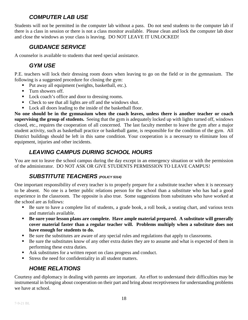#### *COMPUTER LAB USE*

<span id="page-17-0"></span>Students will not be permitted in the computer lab without a pass. Do not send students to the computer lab if there is a class in session or there is not a class monitor available. Please clean and lock the computer lab door and close the windows as your class is leaving. DO NOT LEAVE IT UNLOCKED!

#### *GUIDANCE SERVICE*

<span id="page-17-2"></span><span id="page-17-1"></span>A counselor is available to students that need special assistance.

#### *GYM USE*

P.E. teachers will lock their dressing room doors when leaving to go on the field or in the gymnasium. The following is a suggested procedure for closing the gym:

- Put away all equipment (weights, basketball, etc.).
- **Turn showers off.**
- Lock coach's office and door to dressing rooms.
- Check to see that all lights are off and the windows shut.
- **Lock all doors leading to the inside of the basketball floor.**

**No one should be in the gymnasium when the coach leaves, unless there is another teacher or coach supervising the group of students.** Seeing that the gym is adequately locked up with lights turned off, windows closed, etc., requires the cooperation of all concerned. The last faculty member to leave the gym after a major student activity, such as basketball practice or basketball game, is responsible for the condition of the gym. All District buildings should be left in this same condition. Your cooperation is a necessary to eliminate loss of equipment, injuries and other incidents.

#### *LEAVING CAMPUS DURING SCHOOL HOURS*

<span id="page-17-4"></span><span id="page-17-3"></span>You are not to leave the school campus during the day except in an emergency situation or with the permission of the administrator. DO NOT ASK OR GIVE STUDENTS PERMISSION TO LEAVE CAMPUS!

#### *SUBSTITUTE TEACHERS (POLICY 5314)*

One important responsibility of every teacher is to properly prepare for a substitute teacher when it is necessary to be absent. No one is a better public relations person for the school than a substitute who has had a good experience in the classroom. The opposite is also true. Some suggestions from substitutes who have worked at the school are as follows:

- Be sure to have a complete list of students, a grade book, a roll book, a seating chart, and various texts and materials available.
- **Be sure your lesson plans are complete. Have ample material prepared. A substitute will generally cover material faster than a regular teacher will. Problems multiply when a substitute does not have enough for students to do.**
- Be sure the substitutes are aware of any special rules and regulations that apply to classrooms.
- Be sure the substitutes know of any other extra duties they are to assume and what is expected of them in performing these extra duties.
- Ask substitutes for a written report on class progress and conduct.
- <span id="page-17-5"></span>Stress the need for confidentiality in all student matters.

#### *HOME RELATIONS*

Courtesy and diplomacy in dealing with parents are important. An effort to understand their difficulties may be instrumental in bringing about cooperation on their part and bring about receptiveness for understanding problems we have at school.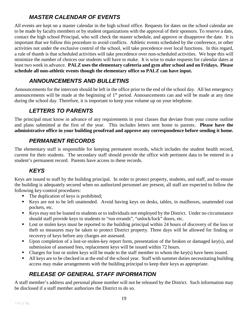### *MASTER CALENDAR OF EVENTS*

<span id="page-18-0"></span>All events are kept on a master calendar in the high school office. Requests for dates on the school calendar are to be made by faculty members or by student organizations with the approval of their sponsors. To reserve a date, contact the high school Principal, who will check the master schedule, and approve or disapprove the date. It is important that we follow this procedure to avoid conflicts. Athletic events scheduled by the conference, or other activities not under the exclusive control of the school, will take precedence over local functions. In this regard, a rule of thumb is that scheduled activities will take precedence over non-scheduled activities. We hope this will minimize the number of choices our students will have to make. It is wise to make requests for calendar dates at least two week in advance. **PALZ uses the elementary cafeteria and gym after school and on Fridays. Please schedule all non-athletic events though the elementary office so PALZ can have input.** 

#### *ANNOUNCEMENTS AND BULLETINS*

<span id="page-18-1"></span>Announcements for the intercom should be left in the office prior to the end of the school day. All but emergency announcements will be made at the beginning of  $1<sup>st</sup>$  period. Announcements can and will be made at any time during the school day. Therefore, it is important to keep your volume up on your telephone.

#### *LETTERS TO PARENTS*

<span id="page-18-2"></span>The principal must know in advance of any requirements in your classes that deviate from your course outline and plans submitted at the first of the year. This includes letters sent home to parents. **Please have the administrative office in your building proofread and approve any correspondence before sending it home.**

#### *PERMANENT RECORDS*

<span id="page-18-3"></span>The elementary staff is responsible for keeping permanent records, which includes the student health record, current for their students. The secondary staff should provide the office with pertinent data to be entered in a student's permanent record. Parents have access to these records.

#### *KEYS*

<span id="page-18-4"></span>Keys are issued to staff by the building principal. In order to protect property, students, and staff, and to ensure the building is adequately secured when no authorized personnel are present, all staff are expected to follow the following key-control procedures:

- The duplication of keys is prohibited;
- Keys are not to be left unattended. Avoid having keys on desks, tables, in mailboxes, unattended coat pockets, etc.
- Keys may not be loaned to students or to individuals not employed by the District. Under no circumstance should staff provide keys to students to "run errands", "unlock/lock" doors, etc.
- **Lost or stolen keys must be reported to the building principal within 24 hours of discovery of the loss or** theft so measures may be taken to protect District property. Three days will be allowed for finding or recovery of keys before any charges are assessed.
- Upon completion of a lost-or-stolen-key report form, presentation of the broken or damaged key(s), and submission of assessed fees, replacement keys will be issued within 72 hours.
- Charges for lost or stolen keys will be made to the staff member to whom the key(s) have been issued.
- All keys are to be checked in at the end of the school year. Staff with summer duties necessitating building access may make arrangements with the building principal to keep their keys as appropriate.

# *RELEASE OF GENERAL STAFF INFORMATION*

<span id="page-18-5"></span>A staff member's address and personal phone number will not be released by the District. Such information may be disclosed if a staff member authorizes the District to do so.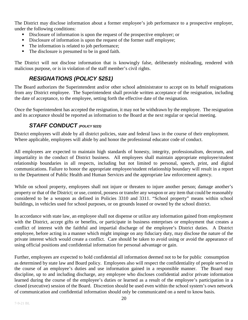The District may disclose information about a former employee's job performance to a prospective employer, under the following conditions:

- Disclosure of information is upon the request of the prospective employer; or
- Disclosure of information is upon the request of the former staff employee;
- The information is related to job performance;
- The disclosure is presumed to be in good faith.

<span id="page-19-0"></span>The District will not disclose information that is knowingly false, deliberately misleading, rendered with malicious purpose, or is in violation of the staff member's civil rights.

#### *RESIGNATIONS (POLICY 5251)*

The Board authorizes the Superintendent and/or other school administrator to accept on its behalf resignations from any District employee. The Superintendent shall provide written acceptance of the resignation, including the date of acceptance, to the employee, setting forth the effective date of the resignation.

<span id="page-19-1"></span>Once the Superintendent has accepted the resignation, it may not be withdrawn by the employee. The resignation and its acceptance should be reported as information to the Board at the next regular or special meeting.

#### *STAFF CONDUCT (POLICY 5223)*

District employees will abide by all district policies, state and federal laws in the course of their employment. Where applicable, employees will abide by and honor the professional educator code of conduct.

All employees are expected to maintain high standards of honesty, integrity, professionalism, decorum, and impartiality in the conduct of District business. All employees shall maintain appropriate employee/student relationship boundaries in all respects, including but not limited to personal, speech, print, and digital communications. Failure to honor the appropriate employee/student relationship boundary will result in a report to the Department of Public Health and Human Services and the appropriate law enforcement agency.

While on school property, employees shall not injure or threaten to injure another person; damage another's property or that of the District; or use, control, possess or transfer any weapon or any item that could be reasonably considered to be a weapon as defined in Policies 3310 and 3311. "School property" means within school buildings, in vehicles used for school purposes, or on grounds leased or owned by the school district.

In accordance with state law, an employee shall not dispense or utilize any information gained from employment with the District, accept gifts or benefits, or participate in business enterprises or employment that creates a conflict of interest with the faithful and impartial discharge of the employee's District duties. A District employee, before acting in a manner which might impinge on any fiduciary duty, may disclose the nature of the private interest which would create a conflict. Care should be taken to avoid using or avoid the appearance of using official positions and confidential information for personal advantage or gain.

Further, employees are expected to hold confidential all information deemed not to be for public consumption as determined by state law and Board policy. Employees also will respect the confidentiality of people served in the course of an employee's duties and use information gained in a responsible manner. The Board may discipline, up to and including discharge, any employee who discloses confidential and/or private information learned during the course of the employee's duties or learned as a result of the employee's participation in a closed (executive) session of the Board. Discretion should be used even within the school system's own network of communication and confidential information should only be communicated on a need to know basis.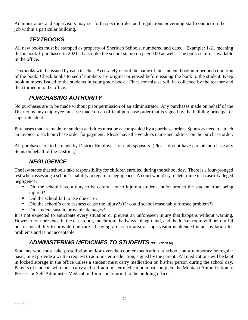<span id="page-20-0"></span>Administrators and supervisors may set forth specific rules and regulations governing staff conduct on the job within a particular building.

### *TEXTBOOKS*

All new books must be stamped as property of Sheridan Schools, numbered and dated. Example: 1-21 meaning this is book 1 purchased in 2021. I also like the school stamp on page 100 as well. The book stamp is available in the office.

Textbooks will be issued by each teacher. Accurately record the name of the student, book number and condition of the book. Check books to see if numbers are original or erased before issuing the book to the student. Keep book numbers issued to the students in your grade book. Fines for misuse will be collected by the teacher and then turned into the office.

### *PURCHASING AUTHORITY*

<span id="page-20-1"></span>No purchases are to be made without prior permission of an administrator. Any purchases made on behalf of the District by any employee must be made on an official purchase order that is signed by the building principal or superintendent.

Purchases that are made for student activities must be accompanied by a purchase order. Sponsors need to attach an invoice to each purchase order for payment. Please have the vendor's name and address on the purchase order.

<span id="page-20-2"></span>All purchases are to be made by District Employees or club sponsors. (Please do not have parents purchase any items on behalf of the District.)

#### *NEGLIGENCE*

The law states that schools take responsibility for children enrolled during the school day. There is a four-pronged test when assessing a school's liability in regard to negligence. A court would try to determine in a case of alleged negligence:

- Did the school have a duty to be careful not to injure a student and/or protect the student from being injured?
- Did the school fail to use due care?
- Did the school's carelessness cause the injury? (Or could school reasonably foresee problem?)
- Did student sustain provable damages?

It is not expected to anticipate every situation or prevent an unforeseen injury that happens without warning. However, our presence in the classroom, lunchroom, hallways, playground, and the locker room will help fulfill our responsibility to provide due care. Leaving a class or area of supervision unattended is an invitation for problems and is not acceptable.

# *ADMINISTERING MEDICINES TO STUDENTS (POLICY 3416)*

<span id="page-20-3"></span>Students who must take prescription and/or over-the-counter medication at school, on a temporary or regular basis, must provide a written request to administer medication, signed by the parent. All medications will be kept in locked storage in the office unless a student must carry medication on his/her person during the school day. Parents of students who must carry and self-administer medication must complete the Montana Authorization to Possess or Self-Administer Medication form and return it to the building office.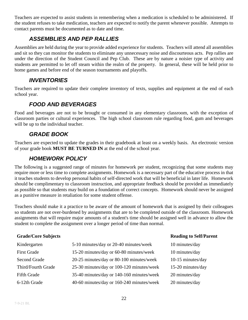Teachers are expected to assist students in remembering when a medication is scheduled to be administered. If the student refuses to take medication, teachers are expected to notify the parent whenever possible. Attempts to contact parents must be documented as to date and time.

#### *ASSEMBLIES AND PEP RALLIES*

<span id="page-21-0"></span>Assemblies are held during the year to provide added experience for students. Teachers will attend all assemblies and sit so they can monitor the students to eliminate any unnecessary noise and discourteous acts. Pep rallies are under the direction of the Student Council and Pep Club. These are by nature a noisier type of activity and students are permitted to let off steam within the realm of the property. In general, these will be held prior to home games and before end of the season tournaments and playoffs.

#### *INVENTORIES*

<span id="page-21-2"></span><span id="page-21-1"></span>Teachers are required to update their complete inventory of texts, supplies and equipment at the end of each school year.

#### *FOOD AND BEVERAGES*

Food and beverages are not to be brought or consumed in any elementary classroom, with the exception of classroom parties or cultural experiences. The high school classroom rule regarding food, gum and beverages will be up to the individual teacher.

#### *GRADE BOOK*

<span id="page-21-4"></span><span id="page-21-3"></span>Teachers are expected to update the grades in their gradebook at least on a weekly basis. An electronic version of your grade book **MUST BE TURNED IN** at the end of the school year.

#### *HOMEWORK POLICY*

The following is a suggested range of minutes for homework per student, recognizing that some students may require more or less time to complete assignments. Homework is a necessary part of the educative process in that it teaches students to develop personal habits of self-directed work that will be beneficial in later life. Homework should be complimentary to classroom instruction, and appropriate feedback should be provided as immediately as possible so that students may build on a foundation of correct concepts. Homework should never be assigned as a punitive measure in retaliation for some student offense.

Teachers should make it a practice to be aware of the amount of homework that is assigned by their colleagues so students are not over-burdened by assignments that are to be completed outside of the classroom. Homework assignments that will require major amounts of a student's time should be assigned well in advance to allow the student to complete the assignment over a longer period of time than normal.

#### **Grade/Core Subjects Reading to Self/Parent**

| Kindergarten       | 5-10 minutes/day or 20-40 minutes/week    | 10 minutes/day    |
|--------------------|-------------------------------------------|-------------------|
| <b>First Grade</b> | 15-20 minutes/day or 60-80 minutes/week   | 10 minutes/day    |
| Second Grade       | 20-25 minutes/day or 80-100 minutes/week  | 10-15 minutes/day |
| Third/Fourth Grade | 25-30 minutes/day or 100-120 minutes/week | 15-20 minutes/day |
| Fifth Grade        | 35-40 minutes/day or 140-160 minutes/week | 20 minutes/day    |
| 6-12th Grade       | 40-60 minutes/day or 160-240 minutes/week | 20 minutes/day    |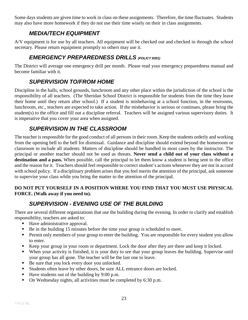<span id="page-22-0"></span>Some days students are given time to work in class on these assignments. Therefore, the time fluctuates. Students may also have more homework if they do not use their time wisely on their in class assignments.

#### *MEDIA/TECH EQUIPMENT*

<span id="page-22-1"></span>A/V equipment is for use by all teachers. All equipment will be checked out and checked in through the school secretary. Please return equipment promptly so others may use it.

#### *EMERGENCY PREPAREDNESS DRILLS (POLICY 8301)*

<span id="page-22-2"></span>The District will average one emergency drill per month. Please read your emergency preparedness manual and become familiar with it.

### *SUPERVISION TO/FROM HOME*

Discipline in the halls, school grounds, lunchroom and any other place within the jurisdiction of the school is the responsibility of all teachers. (The Sheridan School District is responsible for students from the time they leave their home until they return after school.) If a student is misbehaving at a school function, in the restrooms, lunchroom, etc., teachers are expected to take action. If the misbehavior is serious or continues, please bring the student(s) to the office and fill out a discipline referral. Teachers will be assigned various supervisory duties. It is imperative that you cover your area when assigned.

#### *SUPERVISION IN THE CLASSROOM*

<span id="page-22-3"></span>The teacher is responsible for the good conduct of all persons in their room. Keep the students orderly and working from the opening bell to the bell for dismissal. Guidance and discipline should extend beyond the homeroom or classroom to include all students. Matters of discipline should be handled in most cases by the instructor. The principal or another teacher should not be used as threats. **Never send a child out of your class without a destination and a pass.** When possible, call the principal to let them know a student is being sent to the office and the reason for it. Teachers should feel responsible to correct student's actions whenever they are not in accord with school policy. If a disciplinary problem arises that you feel merits the attention of the principal, ask someone to supervise your class while you bring the matter to the attention of the principal.

#### <span id="page-22-4"></span>**DO NOT PUT YOURSELF IN A POSITION WHERE YOU FIND THAT YOU MUST USE PHYSICAL FORCE. (Walk away if you need to).**

# *SUPERVISION - EVENING USE OF THE BUILDING*

There are several different organizations that use the building during the evening. In order to clarify and establish responsibility, teachers are asked to:

- Have administrative approval.
- Be in the building 15 minutes before the time your group is scheduled to meet.
- Permit only members of your group to enter the building. You are responsible for every student you allow to enter.
- Keep your group in your room or department. Lock the door after they are there and keep it locked.
- When your activity is finished, it is your duty to see that your group leaves the building. Supervise until your group has all gone. The teacher will be the last one to leave.
- Be sure that you lock every door you unlocked.
- Students often leave by other doors, be sure ALL entrance doors are locked.
- $\blacksquare$  Have students out of the building by 9:00 p.m.
- On Wednesday nights, all activities must be completed by 6:30 p.m.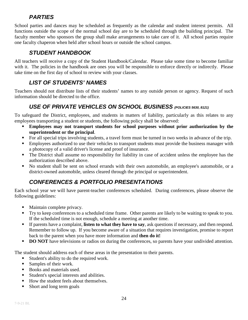#### *PARTIES*

<span id="page-23-0"></span>School parties and dances may be scheduled as frequently as the calendar and student interest permits. All functions outside the scope of the normal school day are to be scheduled through the building principal. The faculty member who sponsors the group shall make arrangements to take care of it. All school parties require one faculty chaperon when held after school hours or outside the school campus.

#### *STUDENT HANDBOOK*

<span id="page-23-1"></span>All teachers will receive a copy of the Student Handbook/Calendar. Please take some time to become familiar with it. The policies in the handbook are ones you will be responsible to enforce directly or indirectly. Please take time on the first day of school to review with your classes.

# *LIST OF STUDENTS' NAMES*

<span id="page-23-3"></span><span id="page-23-2"></span>Teachers should not distribute lists of their students' names to any outside person or agency. Request of such information should be directed to the office.

#### *USE OF PRIVATE VEHICLES ON SCHOOL BUSINESS (POLICIES 5630, 8121)*

To safeguard the District, employees, and students in matters of liability, particularly as this relates to any employees transporting a student or students, the following policy shall be observed:

- **Employees may not transport students for school purposes without prior authorization by the superintendent or the principal**.
- For all special trips involving students, a travel form must be turned in two weeks in advance of the trip.
- **Employees authorized to use their vehicles to transport students must provide the business manager with** a photocopy of a valid driver's license and proof of insurance.
- The District shall assume no responsibility for liability in case of accident unless the employee has the authorization described above.
- No student shall be sent on school errands with their own automobile, an employee's automobile, or a district-owned automobile, unless cleared through the principal or superintendent.

# *CONFERENCES & PORTFOLIO PRESENTATIONS*

<span id="page-23-4"></span>Each school year we will have parent-teacher conferences scheduled. During conferences, please observe the following guidelines:

- Maintain complete privacy.
- Try to keep conferences to a scheduled time frame. Other parents are likely to be waiting to speak to you. If the scheduled time is not enough, schedule a meeting at another time.
- If parents have a complaint, **listen to what they have to say**, ask questions if necessary, and then respond. Remember to follow up. If you become aware of a situation that requires investigation, promise to report back to the parent when you have more information and **then do it!**
- **DO NOT** have televisions or radios on during the conferences, so parents have your undivided attention.

The student should address each of these areas in the presentation to their parents.

- Student's ability to do the required work.
- Samples of their work.
- Books and materials used.
- Student's special interests and abilities.
- How the student feels about themselves.
- Short and long term goals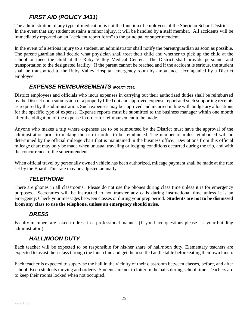# *FIRST AID (POLICY 3431)*

<span id="page-24-0"></span>The administration of any type of medication is not the function of employees of the Sheridan School District. In the event that any student sustains a minor injury, it will be handled by a staff member. All accidents will be immediately reported on an "accident report form" to the principal or superintendent.

In the event of a serious injury to a student, an administrator shall notify the parent/guardian as soon as possible. The parent/guardian shall decide what physician shall treat their child and whether to pick up the child at the school or meet the child at the Ruby Valley Medical Center. The District shall provide personnel and transportation to the designated facility. If the parent cannot be reached and if the accident is serious, the student shall be transported to the Ruby Valley Hospital emergency room by ambulance, accompanied by a District employee.

#### *EXPENSE REIMBURSEMENTS (POLICY 7336)*

<span id="page-24-1"></span>District employees and officials who incur expenses in carrying out their authorized duties shall be reimbursed by the District upon submission of a properly filled out and approved expense report and such supporting receipts as required by the administration. Such expenses may be approved and incurred in line with budgetary allocations for the specific type of expense. Expense reports must be submitted to the business manager within one month after the obligation of the expense in order for reimbursement to be made.

Anyone who makes a trip where expenses are to be reimbursed by the District must have the approval of the administration prior to making the trip in order to be reimbursed. The number of miles reimbursed will be determined by the official mileage chart that is maintained in the business office. Deviations from this official mileage chart may only be made when unusual traveling or lodging conditions occurred during the trip, and with the concurrence of the superintendent.

<span id="page-24-2"></span>When official travel by personally owned vehicle has been authorized, mileage payment shall be made at the rate set by the Board. This rate may be adjusted annually.

#### *TELEPHONE*

There are phones in all classrooms. Please do not use the phones during class time unless it is for emergency purposes. Secretaries will be instructed to not transfer any calls during instructional time unless it is an emergency. Check your messages between classes or during your prep period. **Students are not to be dismissed from any class to use the telephone, unless an emergency should arise.**

#### *DRESS*

<span id="page-24-4"></span><span id="page-24-3"></span>Faculty members are asked to dress in a professional manner. (If you have questions please ask your building administrator.)

#### *HALL/NOON DUTY*

Each teacher will be expected to be responsible for his/her share of hall/noon duty. Elementary teachers are expected to assist their class through the lunch line and get them settled at the table before eating their own lunch.

Each teacher is expected to supervise the hall in the vicinity of their classroom between classes, before, and after school. Keep students moving and orderly. Students are not to loiter in the halls during school time. Teachers are to keep their rooms locked when not occupied.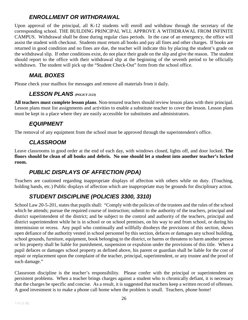#### *ENROLLMENT OR WITHDRAWAL*

<span id="page-25-0"></span>Upon approval of the principal, all K-12 students will enroll and withdraw through the secretary of the corresponding school. THE BUILDING PRINCIPAL WLL APPROVE A WITHDRAWAL FROM INFINITE CAMPUS. Withdrawal shall be done during regular class periods. In the case of an emergency, the office will assist the student with checkout. Students must return all books and pay all fines and other charges. If books are returned in good condition and no fines are due, the teacher will indicate this by placing the student's grade on the withdrawal slip. If other conditions exist, do not place their grade on the slip and give the reason. The student should report to the office with their withdrawal slip at the beginning of the seventh period to be officially withdrawn. The student will pick up the "Student Check-Out" form from the school office.

#### *MAIL BOXES*

<span id="page-25-2"></span><span id="page-25-1"></span>Please check your mailbox for messages and remove all materials from it daily.

#### *LESSON PLANS (POLICY 2123)*

**All teachers must complete lesson plans**. Non-tenured teachers should review lesson plans with their principal. Lesson plans must list assignments and activities to enable a substitute teacher to cover the lesson. Lesson plans must be kept in a place where they are easily accessible for substitutes and administrators.

#### *EQUIPMENT*

<span id="page-25-4"></span><span id="page-25-3"></span>The removal of any equipment from the school must be approved through the superintendent's office.

#### *CLASSROOM*

Leave classrooms in good order at the end of each day, with windows closed, lights off, and door locked. **The floors should be clean of all books and debris. No one should let a student into another teacher's locked room.**

#### *PUBLIC DISPLAYS OF AFFECTION (PDA)*

<span id="page-25-6"></span><span id="page-25-5"></span>Teachers are cautioned regarding inappropriate displays of affection with others while on duty. (Touching, holding hands, etc.) Public displays of affection which are inappropriate may be grounds for disciplinary action.

# *STUDENT DISCIPLINE (POLICIES 3300, 3310)*

School Law 20-5-201, states that pupils shall: "Comply with the policies of the trustees and the rules of the school which he attends; pursue the required course of instruction; submit to the authority of the teachers, principal and district superintendent of the district; and be subject to the control and authority of the teachers, principal and district superintendent while he is in school or on school premises, on his way to and from school, or during his intermission or recess. Any pupil who continually and willfully disobeys the provisions of this section, shows open defiance of the authority vested in school personnel by this section, defaces or damages any school building, school grounds, furniture, equipment, book belonging to the district, or harms or threatens to harm another person or his property shall be liable for punishment, suspension or expulsion under the provisions of this title. When a pupil defaces or damages school property as defined above, his parent or guardian shall be liable for the cost of repair or replacement upon the complaint of the teacher, principal, superintendent, or any trustee and the proof of such damage."

Classroom discipline is the teacher's responsibility. Please confer with the principal or superintendent on persistent problems. When a teacher brings charges against a student who is chronically defiant, it is necessary that the charges be specific and concise. As a result, it is suggested that teachers keep a written record of offenses. A good investment is to make a phone call home when the problem is small. Teachers, phone home!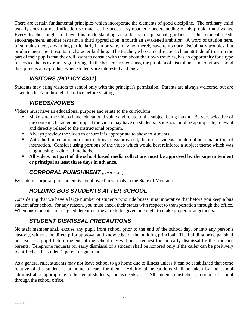There are certain fundamental principles which incorporate the elements of good discipline. The ordinary child usually does not need affection so much as he needs a sympathetic understanding of his problem and wants. Every teacher ought to have this understanding as a basis for personal guidance. One student needs encouragement, another restraint, a third appreciation, a fourth an awakened ambition. A word of caution here, of stimulus there, a warning particularly if in private, may not merely save temporary disciplinary troubles, but produce permanent results in character building. The teacher, who can cultivate such an attitude of trust on the part of their pupils that they will want to consult with them about their own troubles, has an opportunity for a type of service that is extremely gratifying. In the best controlled class, the problem of discipline is not obvious. Good discipline is a by-product when students are interested and busy.

### *VISITORS (POLICY 4301)*

<span id="page-26-1"></span><span id="page-26-0"></span>Students may bring visitors to school only with the principal's permission. Parents are always welcome, but are asked to check in through the office before visiting.

#### *VIDEOS/MOVIES*

Videos must have an educational purpose and relate to the curriculum.

- Make sure the videos have educational value and relate to the subject being taught. Be very selective of the content, character and impact the video may have on students. Videos should be appropriate, relevant and directly related to the instructional program.
- Always preview the video to ensure it is appropriate to show to students.
- With the limited amount of instructional days provided, the use of videos should not be a major tool of instruction. Consider using portions of the video which would best reinforce a subject theme which was taught using traditional methods.
- **All videos not part of the school based media collections must be approved by the superintendent or principal at least three days in advance.**

#### *CORPORAL PUNISHMENT (POLICY 3310)*

<span id="page-26-3"></span><span id="page-26-2"></span>By statute, corporal punishment is not allowed in schools in the State of Montana.

#### *HOLDING BUS STUDENTS AFTER SCHOOL*

Considering that we have a large number of students who ride buses, it is imperative that before you keep a bus student after school, for any reason, you must check their status with respect to transportation through the office. When bus students are assigned detention, they are to be given one night to make proper arrangements.

#### *STUDENT DISMISSAL PRECAUTIONS*

<span id="page-26-4"></span>No staff member shall excuse any pupil from school prior to the end of the school day, or into any person's custody, without the direct prior approval and knowledge of the building principal. The building principal shall not excuse a pupil before the end of the school day without a request for the early dismissal by the student's parents. Telephone requests for early dismissal of a student shall be honored only if the caller can be positively identified as the student's parent or guardian.

As a general rule, students may not leave school to go home due to illness unless it can be established that some relative of the student is at home to care for them. Additional precautions shall be taken by the school administration appropriate to the age of students, and as needs arise. All students must check in or out of school through the school office.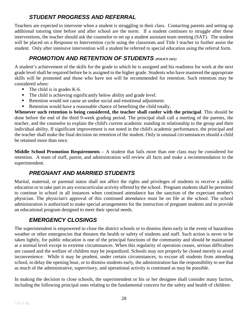#### *STUDENT PROGRESS AND REFERRAL*

<span id="page-27-0"></span>Teachers are expected to intervene when a student is struggling in their class. Contacting parents and setting up additional tutoring time before and after school are the norm. If a student continues to struggle after these interventions, the teacher should ask the counselor to set up a student assistant team meeting (SAT). The student will be placed on a Response to Intervention cycle using the classroom and Title I teacher to further assist the student. Only after intensive intervention will a student be referred to special education using the referral form.

### *PROMOTION AND RETENTION OF STUDENTS (POLICY 2421)*

<span id="page-27-1"></span>A student's achievement of the skills for the grade to which he is assigned and his readiness for work at the next grade level shall be required before he is assigned to the higher grade. Students who have mastered the appropriate skills will be promoted and those who have not will be recommended for retention. Such retention may be considered when:

- The child is in grades K-6.
- The child is achieving significantly below ability and grade level.
- Retention would not cause an undue social and emotional adjustment.
- Retention would have a reasonable chance of benefiting the child totally.

**Whenever such retention is being considered, the teacher shall confer with the principal**. This should be done before the end of the third 9-week grading period. The principal shall call a meeting of the parents, the teacher, and the counselor to explain the child's current academic standing in relationship to the group and their individual ability. If significant improvement is not noted in the child's academic performance, the principal and the teacher shall make the final decision on retention of the student. Only in unusual circumstances should a child be retained more than once.

**Middle School Promotion Requirements** *–* A student that fails more than one class may be considered for retention. A team of staff, parent, and administration will review all facts and make a recommendation to the superintendent.

#### *PREGNANT AND MARRIED STUDENTS*

<span id="page-27-2"></span>Marital, maternal, or parental status shall not affect the rights and privileges of students to receive a public education or to take part in any extracurricular activity offered by the school. Pregnant students shall be permitted to continue in school in all instances when continued attendance has the sanction of the expectant mother's physician. The physician's approval of this continued attendance must be on file at the school. The school administration is authorized to make special arrangements for the instruction of pregnant students and to provide an educational program designed to meet their special needs.

#### *EMERGENCY CLOSINGS*

<span id="page-27-3"></span>The superintendent is empowered to close the district schools or to dismiss them early in the event of hazardous weather or other emergencies that threaten the health or safety of students and staff. Such action is never to be taken lightly, for public education is one of the principal functions of the community and should be maintained at a normal level except in extreme circumstances. When this regularity of operation ceases, serious difficulties are caused and the welfare of children may be jeopardized. Schools may not properly be closed merely to avoid inconvenience. While it may be prudent, under certain circumstances, to excuse all students from attending school, to delay the opening hour, or to dismiss students early, the administration has the responsibility to see that as much of the administrative, supervisory, and operational activity is continued as may be possible.

In making the decision to close schools, the superintendent or his or her designee shall consider many factors, including the following principal ones relating to the fundamental concern for the safety and health of children: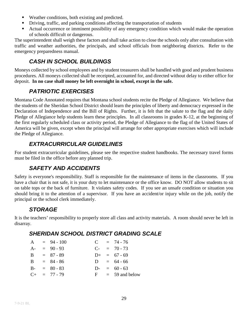- Weather conditions, both existing and predicted.
- Driving, traffic, and parking conditions affecting the transportation of students
- Actual occurrence or imminent possibility of any emergency condition which would make the operation of schools difficult or dangerous.

The superintendent shall weigh these factors and shall take action to close the schools only after consultation with traffic and weather authorities, the principals, and school officials from neighboring districts. Refer to the emergency preparedness manual.

### *CASH IN SCHOOL BUILDINGS*

<span id="page-28-0"></span>Moneys collected by school employees and by student treasurers shall be handled with good and prudent business procedures. All moneys collected shall be receipted, accounted for, and directed without delay to either office for deposit. **In no case shall money be left overnight in school, except in the safe.**

#### *PATRIOTIC EXERCISES*

<span id="page-28-1"></span>Montana Code Annotated requires that Montana school students recite the Pledge of Allegiance. We believe that the students of the Sheridan School District should learn the principles of liberty and democracy expressed in the Declaration of Independence and the Bill of Rights. Further, it is felt that the salute to the flag and the daily Pledge of Allegiance help students learn these principles. In all classrooms in grades K-12, at the beginning of the first regularly scheduled class or activity period, the Pledge of Allegiance to the flag of the United States of America will be given, except when the principal will arrange for other appropriate exercises which will include the Pledge of Allegiance.

#### *EXTRACURRICULAR GUIDELINES*

<span id="page-28-3"></span><span id="page-28-2"></span>For student extracurricular guidelines, please see the respective student handbooks. The necessary travel forms must be filed in the office before any planned trip.

#### *SAFETY AND ACCIDENTS*

Safety is everyone's responsibility. Staff is responsible for the maintenance of items in the classrooms. If you have a chair that is not safe, it is your duty to let maintenance or the office know. DO NOT allow students to sit on table tops or the back of furniture. It violates safety codes. If you see an unsafe condition or situation you should bring it to the attention of a supervisor. If you have an accident/or injury while on the job, notify the principal or the school clerk immediately.

#### *STORAGE*

<span id="page-28-5"></span><span id="page-28-4"></span>It is the teachers' responsibility to properly store all class and activity materials. A room should never be left in disarray.

#### *SHERIDAN SCHOOL DISTRICT GRADING SCALE*

|       | $A = 94 - 100$    |            | $C = 74 - 76$    |
|-------|-------------------|------------|------------------|
| $A -$ | $= 90 - 93$       | $C_{\tau}$ | $= 70 - 73$      |
| B.    | $= 87 - 89$       |            | $D+ = 67 - 69$   |
| B –   | $= 84 - 86$       |            | $D = 64 - 66$    |
| $B -$ | $= 80 - 83$       |            | $D- = 60 - 63$   |
|       | $C_{+}$ = 77 - 79 | $F -$      | $= 59$ and below |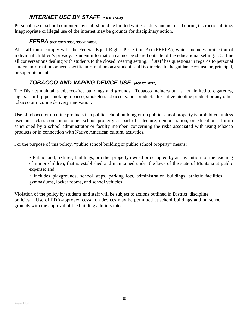#### *INTERNET USE BY STAFF (POLICY 5450)*

<span id="page-29-1"></span><span id="page-29-0"></span>Personal use of school computers by staff should be limited while on duty and not used during instructional time. Inappropriate or illegal use of the internet may be grounds for disciplinary action.

#### *FERPA (POLICIES 3600, 3600P, 3600F)*

All staff must comply with the Federal Equal Rights Protection Act (FERPA), which includes protection of individual children's privacy. Student information cannot be shared outside of the educational setting. Confine all conversations dealing with students to the closed meeting setting. If staff has questions in regards to personal student information or need specific information on a student, staff is directed to the guidance counselor, principal, or superintendent.

#### <span id="page-29-2"></span>*TOBACCO AND VAPING DEVICE USE (POLICY 8225)*

The District maintains tobacco-free buildings and grounds. Tobacco includes but is not limited to cigarettes, cigars, snuff, pipe smoking tobacco, smokeless tobacco, vapor product, alternative nicotine product or any other tobacco or nicotine delivery innovation.

Use of tobacco or nicotine products in a public school building or on public school property is prohibited, unless used in a classroom or on other school property as part of a lecture, demonstration, or educational forum sanctioned by a school administrator or faculty member, concerning the risks associated with using tobacco products or in connection with Native American cultural activities.

For the purpose of this policy, "public school building or public school property" means:

• Public land, fixtures, buildings, or other property owned or occupied by an institution for the teaching of minor children, that is established and maintained under the laws of the state of Montana at public expense; and

• Includes playgrounds, school steps, parking lots, administration buildings, athletic facilities, gymnasiums, locker rooms, and school vehicles.

Violation of the policy by students and staff will be subject to actions outlined in District discipline policies. Use of FDA-approved cessation devices may be permitted at school buildings and on school grounds with the approval of the building administrator.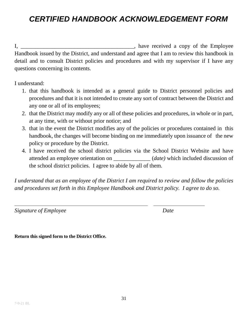# <span id="page-30-0"></span>*CERTIFIED HANDBOOK ACKNOWLEDGEMENT FORM*

I, \_\_\_\_\_\_\_\_\_\_\_\_\_\_\_\_\_\_\_\_\_\_\_\_\_\_\_\_\_\_\_\_\_\_\_\_\_\_\_\_, have received a copy of the Employee Handbook issued by the District, and understand and agree that I am to review this handbook in detail and to consult District policies and procedures and with my supervisor if I have any questions concerning its contents.

I understand:

- 1. that this handbook is intended as a general guide to District personnel policies and procedures and that it is not intended to create any sort of contract between the District and any one or all of its employees;
- 2. that the District may modify any or all of these policies and procedures, in whole or in part, at any time, with or without prior notice; and
- 3. that in the event the District modifies any of the policies or procedures contained in this handbook, the changes will become binding on me immediately upon issuance of the new policy or procedure by the District.
- 4. I have received the school district policies via the School District Website and have attended an employee orientation on \_\_\_\_\_\_\_\_\_\_\_\_\_ (*date)* which included discussion of the school district policies. I agree to abide by all of them.

*I understand that as an employee of the District I am required to review and follow the policies and procedures set forth in this Employee Handbook and District policy. I agree to do so.*

*Signature of Employee* Date

 $\overline{\phantom{a}}$ 

**Return this signed form to the District Office.**